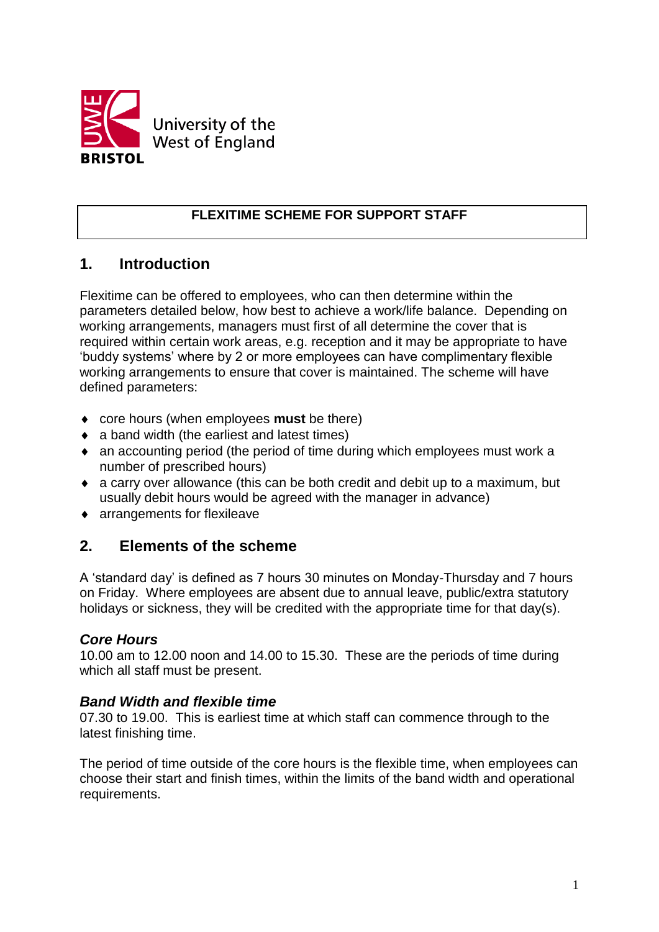

### **FLEXITIME SCHEME FOR SUPPORT STAFF**

# **1. Introduction**

Flexitime can be offered to employees, who can then determine within the parameters detailed below, how best to achieve a work/life balance. Depending on working arrangements, managers must first of all determine the cover that is required within certain work areas, e.g. reception and it may be appropriate to have 'buddy systems' where by 2 or more employees can have complimentary flexible working arrangements to ensure that cover is maintained. The scheme will have defined parameters:

- core hours (when employees **must** be there)
- a band width (the earliest and latest times)
- an accounting period (the period of time during which employees must work a number of prescribed hours)
- a carry over allowance (this can be both credit and debit up to a maximum, but usually debit hours would be agreed with the manager in advance)
- arrangements for flexileave

# **2. Elements of the scheme**

A 'standard day' is defined as 7 hours 30 minutes on Monday-Thursday and 7 hours on Friday. Where employees are absent due to annual leave, public/extra statutory holidays or sickness, they will be credited with the appropriate time for that day(s).

#### *Core Hours*

10.00 am to 12.00 noon and 14.00 to 15.30. These are the periods of time during which all staff must be present.

#### *Band Width and flexible time*

07.30 to 19.00. This is earliest time at which staff can commence through to the latest finishing time.

The period of time outside of the core hours is the flexible time, when employees can choose their start and finish times, within the limits of the band width and operational requirements.